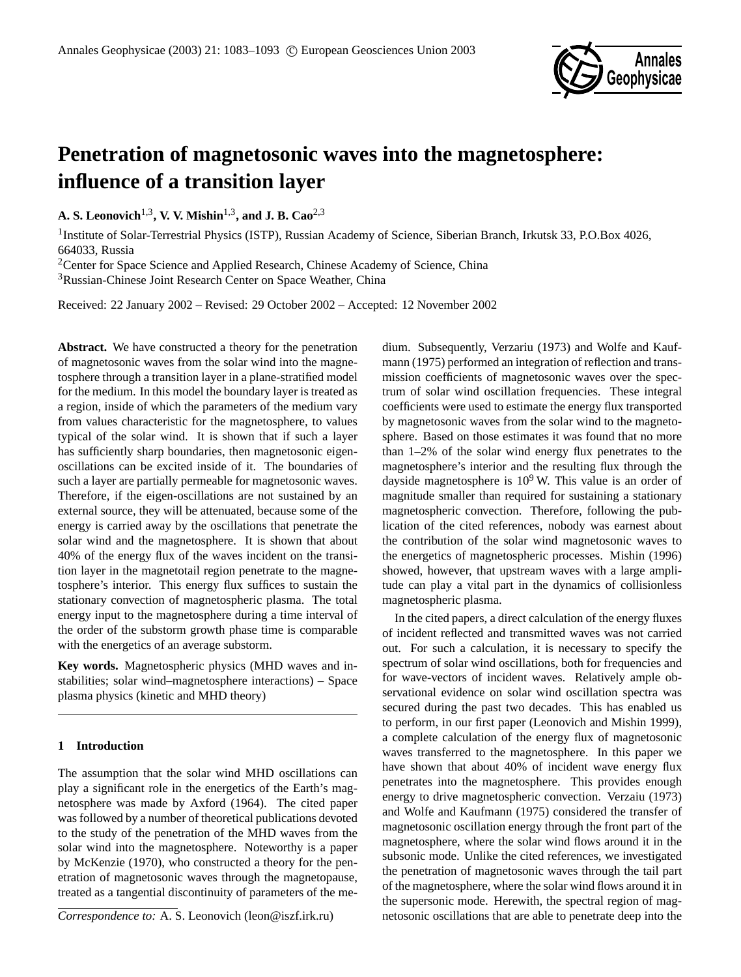

# **Penetration of magnetosonic waves into the magnetosphere: influence of a transition layer**

**A. S. Leonovich**1,3**, V. V. Mishin**1,3**, and J. B. Cao**2,3

<sup>1</sup> Institute of Solar-Terrestrial Physics (ISTP), Russian Academy of Science, Siberian Branch, Irkutsk 33, P.O.Box 4026, 664033, Russia

<sup>2</sup>Center for Space Science and Applied Research, Chinese Academy of Science, China

<sup>3</sup>Russian-Chinese Joint Research Center on Space Weather, China

Received: 22 January 2002 – Revised: 29 October 2002 – Accepted: 12 November 2002

**Abstract.** We have constructed a theory for the penetration of magnetosonic waves from the solar wind into the magnetosphere through a transition layer in a plane-stratified model for the medium. In this model the boundary layer is treated as a region, inside of which the parameters of the medium vary from values characteristic for the magnetosphere, to values typical of the solar wind. It is shown that if such a layer has sufficiently sharp boundaries, then magnetosonic eigenoscillations can be excited inside of it. The boundaries of such a layer are partially permeable for magnetosonic waves. Therefore, if the eigen-oscillations are not sustained by an external source, they will be attenuated, because some of the energy is carried away by the oscillations that penetrate the solar wind and the magnetosphere. It is shown that about 40% of the energy flux of the waves incident on the transition layer in the magnetotail region penetrate to the magnetosphere's interior. This energy flux suffices to sustain the stationary convection of magnetospheric plasma. The total energy input to the magnetosphere during a time interval of the order of the substorm growth phase time is comparable with the energetics of an average substorm.

**Key words.** Magnetospheric physics (MHD waves and instabilities; solar wind–magnetosphere interactions) – Space plasma physics (kinetic and MHD theory)

# **1 Introduction**

The assumption that the solar wind MHD oscillations can play a significant role in the energetics of the Earth's magnetosphere was made by Axford (1964). The cited paper was followed by a number of theoretical publications devoted to the study of the penetration of the MHD waves from the solar wind into the magnetosphere. Noteworthy is a paper by McKenzie (1970), who constructed a theory for the penetration of magnetosonic waves through the magnetopause, treated as a tangential discontinuity of parameters of the me-

*Correspondence to:* A. S. Leonovich (leon@iszf.irk.ru)

dium. Subsequently, Verzariu (1973) and Wolfe and Kaufmann (1975) performed an integration of reflection and transmission coefficients of magnetosonic waves over the spectrum of solar wind oscillation frequencies. These integral coefficients were used to estimate the energy flux transported by magnetosonic waves from the solar wind to the magnetosphere. Based on those estimates it was found that no more than 1–2% of the solar wind energy flux penetrates to the magnetosphere's interior and the resulting flux through the dayside magnetosphere is  $10^9$  W. This value is an order of magnitude smaller than required for sustaining a stationary magnetospheric convection. Therefore, following the publication of the cited references, nobody was earnest about the contribution of the solar wind magnetosonic waves to the energetics of magnetospheric processes. Mishin (1996) showed, however, that upstream waves with a large amplitude can play a vital part in the dynamics of collisionless magnetospheric plasma.

In the cited papers, a direct calculation of the energy fluxes of incident reflected and transmitted waves was not carried out. For such a calculation, it is necessary to specify the spectrum of solar wind oscillations, both for frequencies and for wave-vectors of incident waves. Relatively ample observational evidence on solar wind oscillation spectra was secured during the past two decades. This has enabled us to perform, in our first paper (Leonovich and Mishin 1999), a complete calculation of the energy flux of magnetosonic waves transferred to the magnetosphere. In this paper we have shown that about 40% of incident wave energy flux penetrates into the magnetosphere. This provides enough energy to drive magnetospheric convection. Verzaiu (1973) and Wolfe and Kaufmann (1975) considered the transfer of magnetosonic oscillation energy through the front part of the magnetosphere, where the solar wind flows around it in the subsonic mode. Unlike the cited references, we investigated the penetration of magnetosonic waves through the tail part of the magnetosphere, where the solar wind flows around it in the supersonic mode. Herewith, the spectral region of magnetosonic oscillations that are able to penetrate deep into the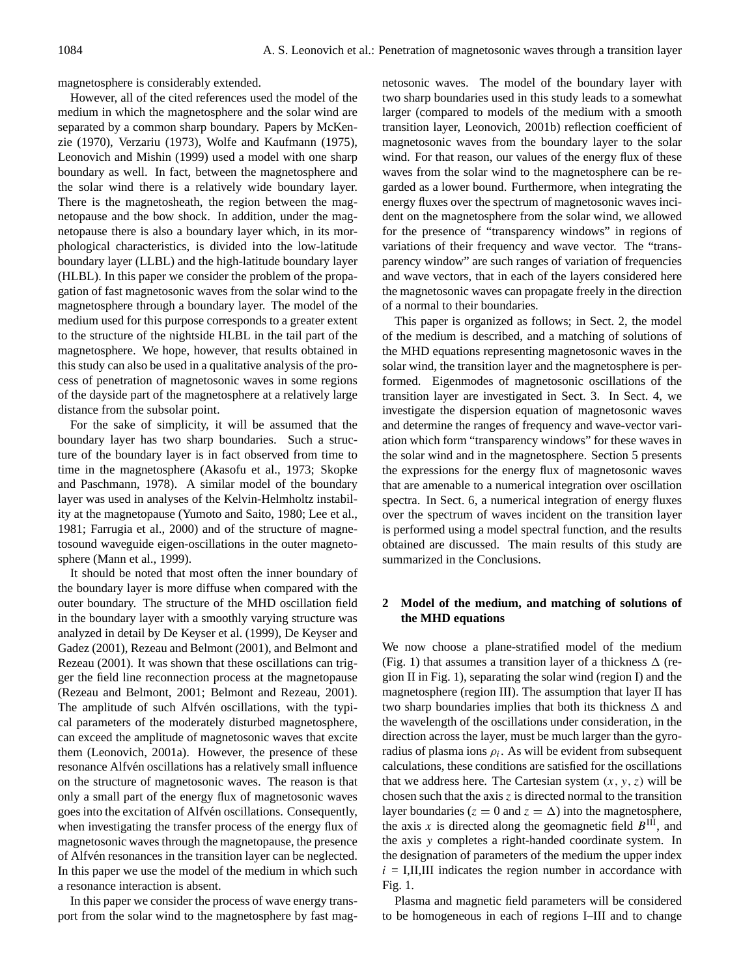magnetosphere is considerably extended.

However, all of the cited references used the model of the medium in which the magnetosphere and the solar wind are separated by a common sharp boundary. Papers by McKenzie (1970), Verzariu (1973), Wolfe and Kaufmann (1975), Leonovich and Mishin (1999) used a model with one sharp boundary as well. In fact, between the magnetosphere and the solar wind there is a relatively wide boundary layer. There is the magnetosheath, the region between the magnetopause and the bow shock. In addition, under the magnetopause there is also a boundary layer which, in its morphological characteristics, is divided into the low-latitude boundary layer (LLBL) and the high-latitude boundary layer (HLBL). In this paper we consider the problem of the propagation of fast magnetosonic waves from the solar wind to the magnetosphere through a boundary layer. The model of the medium used for this purpose corresponds to a greater extent to the structure of the nightside HLBL in the tail part of the magnetosphere. We hope, however, that results obtained in this study can also be used in a qualitative analysis of the process of penetration of magnetosonic waves in some regions of the dayside part of the magnetosphere at a relatively large distance from the subsolar point.

For the sake of simplicity, it will be assumed that the boundary layer has two sharp boundaries. Such a structure of the boundary layer is in fact observed from time to time in the magnetosphere (Akasofu et al., 1973; Skopke and Paschmann, 1978). A similar model of the boundary layer was used in analyses of the Kelvin-Helmholtz instability at the magnetopause (Yumoto and Saito, 1980; Lee et al., 1981; Farrugia et al., 2000) and of the structure of magnetosound waveguide eigen-oscillations in the outer magnetosphere (Mann et al., 1999).

It should be noted that most often the inner boundary of the boundary layer is more diffuse when compared with the outer boundary. The structure of the MHD oscillation field in the boundary layer with a smoothly varying structure was analyzed in detail by De Keyser et al. (1999), De Keyser and Gadez (2001), Rezeau and Belmont (2001), and Belmont and Rezeau (2001). It was shown that these oscillations can trigger the field line reconnection process at the magnetopause (Rezeau and Belmont, 2001; Belmont and Rezeau, 2001). The amplitude of such Alfvén oscillations, with the typical parameters of the moderately disturbed magnetosphere, can exceed the amplitude of magnetosonic waves that excite them (Leonovich, 2001a). However, the presence of these resonance Alfvén oscillations has a relatively small influence on the structure of magnetosonic waves. The reason is that only a small part of the energy flux of magnetosonic waves goes into the excitation of Alfvén oscillations. Consequently, when investigating the transfer process of the energy flux of magnetosonic waves through the magnetopause, the presence of Alfvén resonances in the transition layer can be neglected. In this paper we use the model of the medium in which such a resonance interaction is absent.

In this paper we consider the process of wave energy transport from the solar wind to the magnetosphere by fast magnetosonic waves. The model of the boundary layer with two sharp boundaries used in this study leads to a somewhat larger (compared to models of the medium with a smooth transition layer, Leonovich, 2001b) reflection coefficient of magnetosonic waves from the boundary layer to the solar wind. For that reason, our values of the energy flux of these waves from the solar wind to the magnetosphere can be regarded as a lower bound. Furthermore, when integrating the energy fluxes over the spectrum of magnetosonic waves incident on the magnetosphere from the solar wind, we allowed for the presence of "transparency windows" in regions of variations of their frequency and wave vector. The "transparency window" are such ranges of variation of frequencies and wave vectors, that in each of the layers considered here the magnetosonic waves can propagate freely in the direction of a normal to their boundaries.

This paper is organized as follows; in Sect. 2, the model of the medium is described, and a matching of solutions of the MHD equations representing magnetosonic waves in the solar wind, the transition layer and the magnetosphere is performed. Eigenmodes of magnetosonic oscillations of the transition layer are investigated in Sect. 3. In Sect. 4, we investigate the dispersion equation of magnetosonic waves and determine the ranges of frequency and wave-vector variation which form "transparency windows" for these waves in the solar wind and in the magnetosphere. Section 5 presents the expressions for the energy flux of magnetosonic waves that are amenable to a numerical integration over oscillation spectra. In Sect. 6, a numerical integration of energy fluxes over the spectrum of waves incident on the transition layer is performed using a model spectral function, and the results obtained are discussed. The main results of this study are summarized in the Conclusions.

# **2 Model of the medium, and matching of solutions of the MHD equations**

We now choose a plane-stratified model of the medium (Fig. 1) that assumes a transition layer of a thickness  $\Delta$  (region II in Fig. 1), separating the solar wind (region I) and the magnetosphere (region III). The assumption that layer II has two sharp boundaries implies that both its thickness  $\Delta$  and the wavelength of the oscillations under consideration, in the direction across the layer, must be much larger than the gyroradius of plasma ions  $\rho_i$ . As will be evident from subsequent calculations, these conditions are satisfied for the oscillations that we address here. The Cartesian system  $(x, y, z)$  will be chosen such that the axis  $z$  is directed normal to the transition layer boundaries ( $z = 0$  and  $z = \Delta$ ) into the magnetosphere, the axis x is directed along the geomagnetic field  $B<sup>III</sup>$ , and the axis y completes a right-handed coordinate system. In the designation of parameters of the medium the upper index  $i = I, II, III$  indicates the region number in accordance with Fig. 1.

Plasma and magnetic field parameters will be considered to be homogeneous in each of regions I–III and to change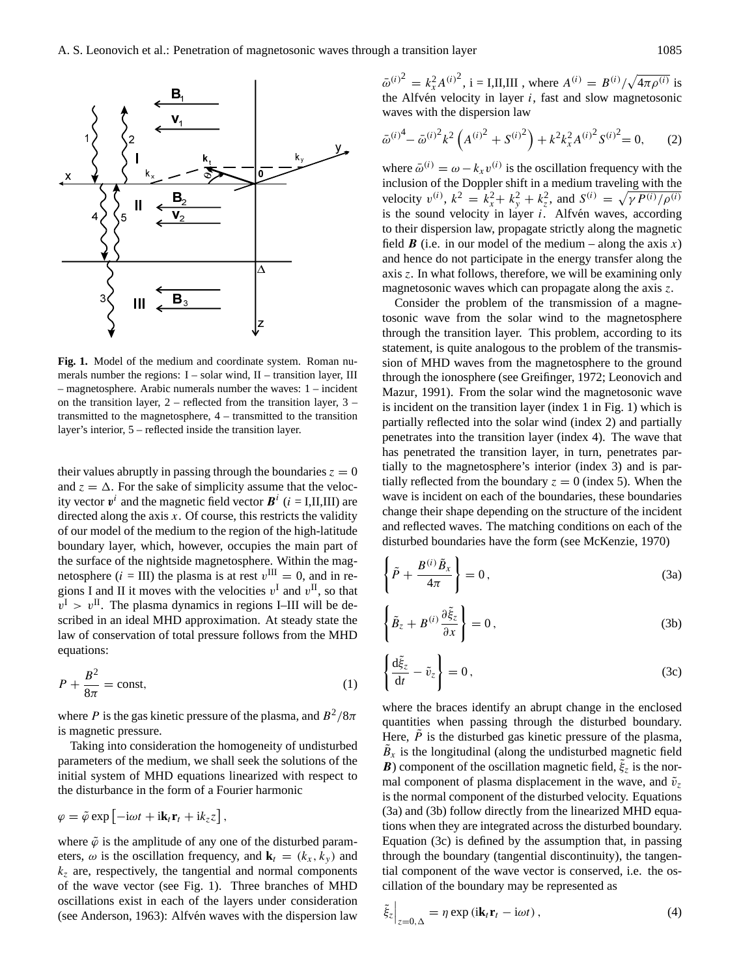

**Fig. 1.** Model of the medium and coordinate system. Roman numerals number the regions: I – solar wind, II – transition layer, III – magnetosphere. Arabic numerals number the waves: 1 – incident on the transition layer, 2 – reflected from the transition layer, 3 – transmitted to the magnetosphere, 4 – transmitted to the transition layer's interior, 5 – reflected inside the transition layer.

their values abruptly in passing through the boundaries  $z = 0$ and  $z = \Delta$ . For the sake of simplicity assume that the velocity vector  $v^i$  and the magnetic field vector  $B^i$  ( $i = I, II, III$ ) are directed along the axis  $x$ . Of course, this restricts the validity of our model of the medium to the region of the high-latitude boundary layer, which, however, occupies the main part of the surface of the nightside magnetosphere. Within the magnetosphere (*i* = III) the plasma is at rest  $v^{\text{III}} = 0$ , and in regions I and II it moves with the velocities  $v^I$  and  $v^{II}$ , so that  $v^{\text{I}} > v^{\text{II}}$ . The plasma dynamics in regions I–III will be described in an ideal MHD approximation. At steady state the law of conservation of total pressure follows from the MHD equations:

$$
P + \frac{B^2}{8\pi} = \text{const},\tag{1}
$$

where P is the gas kinetic pressure of the plasma, and  $B^2/8\pi$ is magnetic pressure.

Taking into consideration the homogeneity of undisturbed parameters of the medium, we shall seek the solutions of the initial system of MHD equations linearized with respect to the disturbance in the form of a Fourier harmonic

$$
\varphi = \tilde{\varphi} \exp \left[ -i\omega t + i\mathbf{k}_t \mathbf{r}_t + i k_z z \right],
$$

where  $\tilde{\varphi}$  is the amplitude of any one of the disturbed parameters,  $\omega$  is the oscillation frequency, and  $\mathbf{k}_t = (k_x, k_y)$  and  $k<sub>z</sub>$  are, respectively, the tangential and normal components of the wave vector (see Fig. 1). Three branches of MHD oscillations exist in each of the layers under consideration (see Anderson, 1963): Alfvén waves with the dispersion law

 $\bar{\omega}^{(i)}^2 = k_x^2 A^{(i)}^2$ , i = I,II,III, where  $A^{(i)} = B^{(i)} / \sqrt{4 \pi \rho^{(i)}}$  is the Alfvén velocity in layer  $i$ , fast and slow magnetosonic waves with the dispersion law

$$
\bar{\omega}^{(i)^4} - \bar{\omega}^{(i)^2} k^2 \left( A^{(i)^2} + S^{(i)^2} \right) + k^2 k_x^2 A^{(i)^2} S^{(i)^2} = 0, \qquad (2)
$$

where  $\bar{\omega}^{(i)} = \omega - k_x v^{(i)}$  is the oscillation frequency with the inclusion of the Doppler shift in a medium traveling with the velocity  $v^{(i)}$ ,  $k^2 = k_x^2 + k_y^2 + k_z^2$ , and  $S^{(i)} = \sqrt{\gamma P^{(i)}/\rho^{(i)}}$ is the sound velocity in layer  $i$ . Alfvén waves, according to their dispersion law, propagate strictly along the magnetic field **B** (i.e. in our model of the medium – along the axis x) and hence do not participate in the energy transfer along the axis z. In what follows, therefore, we will be examining only magnetosonic waves which can propagate along the axis z.

Consider the problem of the transmission of a magnetosonic wave from the solar wind to the magnetosphere through the transition layer. This problem, according to its statement, is quite analogous to the problem of the transmission of MHD waves from the magnetosphere to the ground through the ionosphere (see Greifinger, 1972; Leonovich and Mazur, 1991). From the solar wind the magnetosonic wave is incident on the transition layer (index 1 in Fig. 1) which is partially reflected into the solar wind (index 2) and partially penetrates into the transition layer (index 4). The wave that has penetrated the transition layer, in turn, penetrates partially to the magnetosphere's interior (index 3) and is partially reflected from the boundary  $z = 0$  (index 5). When the wave is incident on each of the boundaries, these boundaries change their shape depending on the structure of the incident and reflected waves. The matching conditions on each of the disturbed boundaries have the form (see McKenzie, 1970)

$$
\left\{ \tilde{P} + \frac{B^{(i)} \tilde{B}_x}{4\pi} \right\} = 0, \tag{3a}
$$

$$
\left\{\tilde{B}_z + B^{(i)}\frac{\partial \tilde{\xi}_z}{\partial x}\right\} = 0, \tag{3b}
$$

$$
\left\{\frac{\mathrm{d}\tilde{\xi}_z}{\mathrm{d}t} - \tilde{v}_z\right\} = 0\,,\tag{3c}
$$

where the braces identify an abrupt change in the enclosed quantities when passing through the disturbed boundary. Here,  $\tilde{P}$  is the disturbed gas kinetic pressure of the plasma,  $\tilde{B}_x$  is the longitudinal (along the undisturbed magnetic field **B**) component of the oscillation magnetic field,  $\tilde{\xi}_z$  is the normal component of plasma displacement in the wave, and  $\tilde{v}_z$ is the normal component of the disturbed velocity. Equations (3a) and (3b) follow directly from the linearized MHD equations when they are integrated across the disturbed boundary. Equation (3c) is defined by the assumption that, in passing through the boundary (tangential discontinuity), the tangential component of the wave vector is conserved, i.e. the oscillation of the boundary may be represented as

$$
\tilde{\xi}_z\Big|_{z=0,\Delta} = \eta \exp(i\mathbf{k}_t \mathbf{r}_t - i\omega t), \tag{4}
$$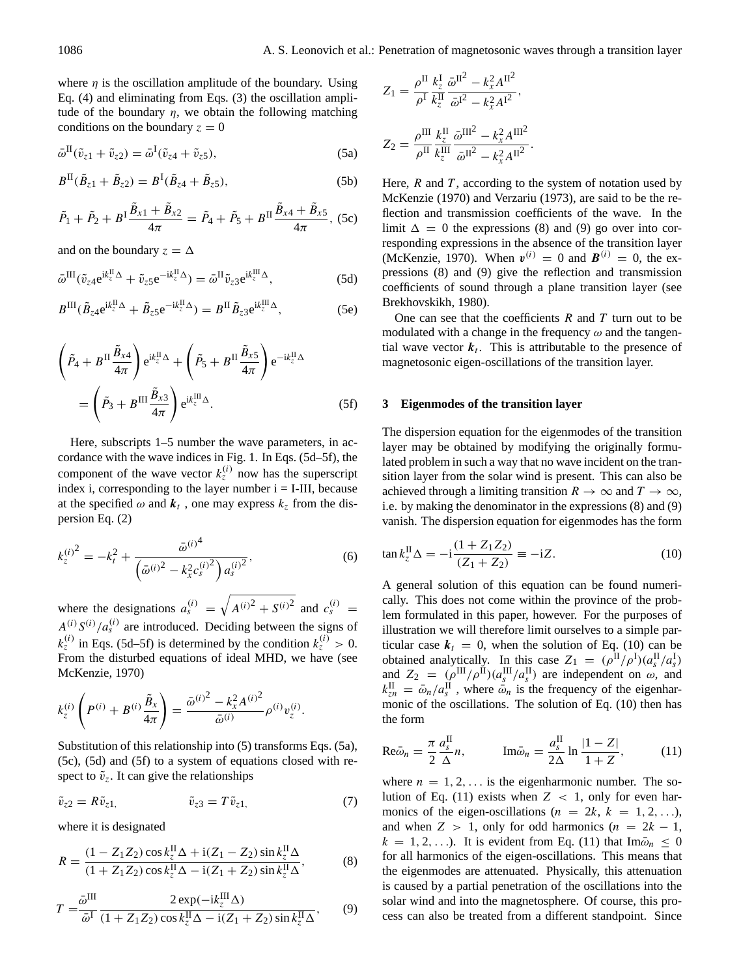where  $\eta$  is the oscillation amplitude of the boundary. Using Eq. (4) and eliminating from Eqs. (3) the oscillation amplitude of the boundary  $\eta$ , we obtain the following matching conditions on the boundary  $z = 0$ 

$$
\bar{\omega}^{\text{II}}(\tilde{v}_{z1} + \tilde{v}_{z2}) = \bar{\omega}^{\text{I}}(\tilde{v}_{z4} + \tilde{v}_{z5}), \tag{5a}
$$

$$
B^{II}(\tilde{B}_{z1} + \tilde{B}_{z2}) = B^{I}(\tilde{B}_{z4} + \tilde{B}_{z5}),
$$
 (5b)

$$
\tilde{P}_1 + \tilde{P}_2 + B^{\mathrm{T}} \frac{\tilde{B}_{x1} + \tilde{B}_{x2}}{4\pi} = \tilde{P}_4 + \tilde{P}_5 + B^{\mathrm{T}} \frac{\tilde{B}_{x4} + \tilde{B}_{x5}}{4\pi}, \text{ (5c)}
$$

and on the boundary  $z = \Delta$ 

$$
\bar{\omega}^{\text{III}}(\tilde{v}_{z4}e^{ik_z^{\text{II}}\Delta} + \tilde{v}_{z5}e^{-ik_z^{\text{II}}\Delta}) = \bar{\omega}^{\text{II}}\tilde{v}_{z3}e^{ik_z^{\text{III}}\Delta},\tag{5d}
$$

$$
B^{III}(\tilde{B}_{z4}e^{ik_z^{II}\Delta} + \tilde{B}_{z5}e^{-ik_z^{II}\Delta}) = B^{II}\tilde{B}_{z3}e^{ik_z^{III}\Delta},
$$
 (5e)

$$
\left(\tilde{P}_4 + B^{\mathrm{II}}\frac{\tilde{B}_{x4}}{4\pi}\right) e^{ik_z^{\mathrm{II}}\Delta} + \left(\tilde{P}_5 + B^{\mathrm{II}}\frac{\tilde{B}_{x5}}{4\pi}\right) e^{-ik_z^{\mathrm{II}}\Delta}
$$
\n
$$
= \left(\tilde{P}_3 + B^{\mathrm{III}}\frac{\tilde{B}_{x3}}{4\pi}\right) e^{ik_z^{\mathrm{III}}\Delta}.
$$
\n(5f)

Here, subscripts 1–5 number the wave parameters, in accordance with the wave indices in Fig. 1. In Eqs. (5d–5f), the component of the wave vector  $k_z^{(i)}$  now has the superscript index i, corresponding to the layer number  $i = I-III$ , because at the specified  $\omega$  and  $\mathbf{k}_t$ , one may express  $k_z$  from the dispersion Eq. (2)

$$
k_{z}^{(i)^{2}} = -k_{t}^{2} + \frac{\bar{\omega}^{(i)^{4}}}{\left(\bar{\omega}^{(i)^{2}} - k_{x}^{2} c_{s}^{(i)^{2}}\right) a_{s}^{(i)^{2}}},\tag{6}
$$

where the designations  $a_s^{(i)} = \sqrt{A^{(i)}^2 + S^{(i)}^2}$  and  $c_s^{(i)} =$  $A^{(i)}S^{(i)}/a_s^{(i)}$  are introduced. Deciding between the signs of  $k_z^{(i)}$  in Eqs. (5d–5f) is determined by the condition  $k_z^{(i)} > 0$ . From the disturbed equations of ideal MHD, we have (see McKenzie, 1970)

$$
k_z^{(i)}\left(P^{(i)} + B^{(i)}\frac{\tilde{B}_x}{4\pi}\right) = \frac{\tilde{\omega}^{(i)^2} - k_x^2 A^{(i)^2}}{\tilde{\omega}^{(i)}} \rho^{(i)} v_z^{(i)}.
$$

Substitution of this relationship into (5) transforms Eqs. (5a), (5c), (5d) and (5f) to a system of equations closed with respect to  $\tilde{v}_z$ . It can give the relationships

$$
\tilde{v}_{z2} = R\tilde{v}_{z1}, \qquad \qquad \tilde{v}_{z3} = T\tilde{v}_{z1}, \qquad (7)
$$

where it is designated

$$
R = \frac{(1 - Z_1 Z_2) \cos k_z^{\text{II}} \Delta + i(Z_1 - Z_2) \sin k_z^{\text{II}} \Delta}{(1 + Z_1 Z_2) \cos k_z^{\text{II}} \Delta - i(Z_1 + Z_2) \sin k_z^{\text{II}} \Delta},
$$
(8)

$$
T = \frac{\bar{\omega}^{\text{III}}}{\bar{\omega}^{\text{I}}} \frac{2 \exp(-ik_z^{\text{III}} \Delta)}{(1 + Z_1 Z_2) \cos k_z^{\text{II}} \Delta - i(Z_1 + Z_2) \sin k_z^{\text{II}} \Delta},\qquad(9)
$$

$$
Z_1 = \frac{\rho^{\text{II}}}{\rho^{\text{I}}} \frac{k_z^{\text{I}}}{k_z^{\text{II}}} \frac{\bar{\omega}^{\text{II}^2} - k_x^2 A^{\text{II}^2}}{\bar{\omega}^{\text{I}^2} - k_x^2 A^{\text{I}^2}},
$$

$$
Z_2 = \frac{\rho^{\text{III}}}{\rho^{\text{II}}} \frac{k_z^{\text{II}}}{k_z^{\text{III}}} \frac{\bar{\omega}^{\text{III}^2} - k_x^2 A^{\text{III}^2}}{\bar{\omega}^{\text{II}^2} - k_x^2 A^{\text{II}^2}}.
$$

Here,  $R$  and  $T$ , according to the system of notation used by McKenzie (1970) and Verzariu (1973), are said to be the reflection and transmission coefficients of the wave. In the limit  $\Delta = 0$  the expressions (8) and (9) go over into corresponding expressions in the absence of the transition layer (McKenzie, 1970). When  $v^{(i)} = 0$  and  $B^{(i)} = 0$ , the expressions (8) and (9) give the reflection and transmission coefficients of sound through a plane transition layer (see Brekhovskikh, 1980).

One can see that the coefficients  $R$  and  $T$  turn out to be modulated with a change in the frequency  $\omega$  and the tangential wave vector  $k_t$ . This is attributable to the presence of magnetosonic eigen-oscillations of the transition layer.

## **3 Eigenmodes of the transition layer**

The dispersion equation for the eigenmodes of the transition layer may be obtained by modifying the originally formulated problem in such a way that no wave incident on the transition layer from the solar wind is present. This can also be achieved through a limiting transition  $R \to \infty$  and  $T \to \infty$ , i.e. by making the denominator in the expressions (8) and (9) vanish. The dispersion equation for eigenmodes has the form

$$
\tan k_z^{\text{II}} \Delta = -i \frac{(1 + Z_1 Z_2)}{(Z_1 + Z_2)} \equiv -iZ. \tag{10}
$$

A general solution of this equation can be found numerically. This does not come within the province of the problem formulated in this paper, however. For the purposes of illustration we will therefore limit ourselves to a simple particular case  $k_t = 0$ , when the solution of Eq. (10) can be obtained analytically. In this case  $Z_1 = (\rho^{\text{II}}/\rho^{\text{I}})(a_s^{\text{II}}/a_s^{\text{I}})$ and  $Z_2 = (\rho^{\text{III}}/\rho^{\text{II}})(a_s^{\text{III}}/a_s^{\text{II}})$  are independent on  $\omega$ , and  $k_{zn}^{\text{II}} = \bar{\omega}_n/a_s^{\text{II}}$ , where  $\bar{\omega}_n$  is the frequency of the eigenharmonic of the oscillations. The solution of Eq. (10) then has the form

$$
\text{Re}\bar{\omega}_n = \frac{\pi}{2} \frac{a_s^{\text{II}}}{\Delta} n, \qquad \text{Im}\bar{\omega}_n = \frac{a_s^{\text{II}}}{2\Delta} \ln \frac{|1 - Z|}{1 + Z}, \qquad (11)
$$

where  $n = 1, 2, \ldots$  is the eigenharmonic number. The solution of Eq. (11) exists when  $Z < 1$ , only for even harmonics of the eigen-oscillations ( $n = 2k, k = 1, 2, ...$ ), and when  $Z > 1$ , only for odd harmonics  $(n = 2k - 1)$ ,  $k = 1, 2, \ldots$ ). It is evident from Eq. (11) that Im $\bar{\omega}_n \leq 0$ for all harmonics of the eigen-oscillations. This means that the eigenmodes are attenuated. Physically, this attenuation is caused by a partial penetration of the oscillations into the solar wind and into the magnetosphere. Of course, this process can also be treated from a different standpoint. Since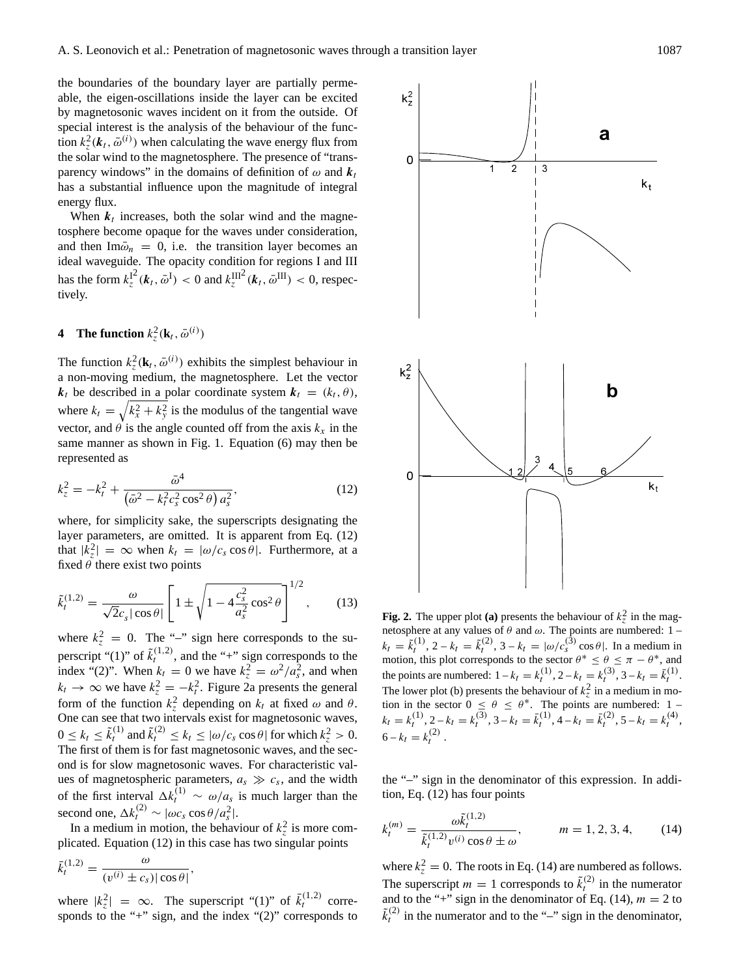the boundaries of the boundary layer are partially permeable, the eigen-oscillations inside the layer can be excited by magnetosonic waves incident on it from the outside. Of special interest is the analysis of the behaviour of the function  $k_z^2$ ( $\mathbf{k}_t$ ,  $\bar{\omega}^{(i)}$ ) when calculating the wave energy flux from the solar wind to the magnetosphere. The presence of "transparency windows" in the domains of definition of  $\omega$  and  $k_t$ has a substantial influence upon the magnitude of integral energy flux.

When  $k_t$  increases, both the solar wind and the magnetosphere become opaque for the waves under consideration, and then  $\text{Im}\bar{\omega}_n = 0$ , i.e. the transition layer becomes an ideal waveguide. The opacity condition for regions I and III has the form  $k_z^{12}$  $\int_{z}^{12} (\boldsymbol{k}_t, \bar{\omega}^{\mathrm{I}}) < 0$  and  $k_z^{\mathrm{III}}(\boldsymbol{k}_t, \bar{\omega}^{\mathrm{III}}) < 0$ , respectively.

# **4** The function  $k_z^2(\mathbf{k}_t, \bar{\omega}^{(i)})$

The function  $k_z^2(\mathbf{k}_t, \bar{\omega}^{(i)})$  exhibits the simplest behaviour in a non-moving medium, the magnetosphere. Let the vector  $k_t$  be described in a polar coordinate system  $k_t = (k_t, \theta)$ , where  $k_t = \sqrt{k_x^2 + k_y^2}$  is the modulus of the tangential wave vector, and  $\theta$  is the angle counted off from the axis  $k_x$  in the same manner as shown in Fig. 1. Equation (6) may then be represented as

$$
k_z^2 = -k_t^2 + \frac{\bar{\omega}^4}{(\bar{\omega}^2 - k_t^2 c_s^2 \cos^2 \theta) a_s^2},\tag{12}
$$

where, for simplicity sake, the superscripts designating the layer parameters, are omitted. It is apparent from Eq. (12) that  $|k_z^2| = \infty$  when  $k_t = |\omega/c_s \cos \theta|$ . Furthermore, at a fixed  $\theta$  there exist two points

$$
\tilde{k}_{t}^{(1,2)} = \frac{\omega}{\sqrt{2}c_{s}|\cos\theta|} \left[ 1 \pm \sqrt{1 - 4\frac{c_{s}^{2}}{a_{s}^{2}}\cos^{2}\theta} \right]^{1/2},
$$
 (13)

where  $k_z^2 = 0$ . The "-" sign here corresponds to the superscript "(1)" of  $\tilde{k}_t^{(1,2)}$ , and the "+" sign corresponds to the index "(2)". When  $k_t = 0$  we have  $k_z^2 = \omega^2 / a_s^2$ , and when  $k_t \to \infty$  we have  $k_z^2 = -k_t^2$ . Figure 2a presents the general form of the function  $k_z^2$  depending on  $k_t$  at fixed  $\omega$  and  $\theta$ . One can see that two intervals exist for magnetosonic waves,  $0 \le k_t \le \tilde{k}_t^{(1)}$  and  $\tilde{k}_t^{(2)} \le k_t \le |\omega/c_s \cos \theta|$  for which  $k_z^2 > 0$ . The first of them is for fast magnetosonic waves, and the second is for slow magnetosonic waves. For characteristic values of magnetospheric parameters,  $a_s \gg c_s$ , and the width of the first interval  $\Delta k_t^{(1)} \sim \omega/a_s$  is much larger than the second one,  $\Delta k_t^{(2)} \sim |\omega c_s \cos \theta / a_s^2|$ .

In a medium in motion, the behaviour of  $k_z^2$  is more complicated. Equation (12) in this case has two singular points

$$
\bar{k}_t^{(1,2)} = \frac{\omega}{(v^{(i)} \pm c_s) |\cos \theta|},
$$

where  $|k_z^2| = \infty$ . The superscript "(1)" of  $\bar{k}_t^{(1,2)}$  corresponds to the "+" sign, and the index "(2)" corresponds to



**Fig. 2.** The upper plot (a) presents the behaviour of  $k_z^2$  in the magnetosphere at any values of  $\theta$  and  $\omega$ . The points are numbered: 1 –  $k_t = \tilde{k}_t^{(1)}$ ,  $2 - k_t = \tilde{k}_t^{(2)}$ ,  $3 - k_t = |\omega/c_s^{(3)} \cos \theta|$ . In a medium in motion, this plot corresponds to the sector  $\theta^* \leq \theta \leq \pi - \theta^*$ , and the points are numbered:  $1 - k_t = k_t^{(1)}$ ,  $2 - k_t = k_t^{(3)}$ ,  $3 - k_t = \bar{k}_t^{(1)}$ . The lower plot (b) presents the behaviour of  $k_z^2$  in a medium in motion in the sector  $0 \le \theta \le \theta^*$ . The points are numbered: 1 –  $k_t = k_t^{(1)}, 2 - k_t = k_t^{(3)}, 3 - k_t = \bar{k}_t^{(1)}, 4 - k_t = \bar{k}_t^{(2)}, 5 - k_t = k_t^{(4)},$  $6 - k_t = k_t^{(2)}$ .

the "–" sign in the denominator of this expression. In addition, Eq. (12) has four points

$$
k_t^{(m)} = \frac{\omega \tilde{k}_t^{(1,2)}}{\tilde{k}_t^{(1,2)} v^{(i)} \cos \theta \pm \omega}, \qquad m = 1, 2, 3, 4,
$$
 (14)

where  $k_z^2 = 0$ . The roots in Eq. (14) are numbered as follows. The superscript  $m = 1$  corresponds to  $\tilde{k}_t^{(2)}$  in the numerator and to the "+" sign in the denominator of Eq. (14),  $m = 2$  to  $\tilde{k}_{t}^{(2)}$  in the numerator and to the "-" sign in the denominator,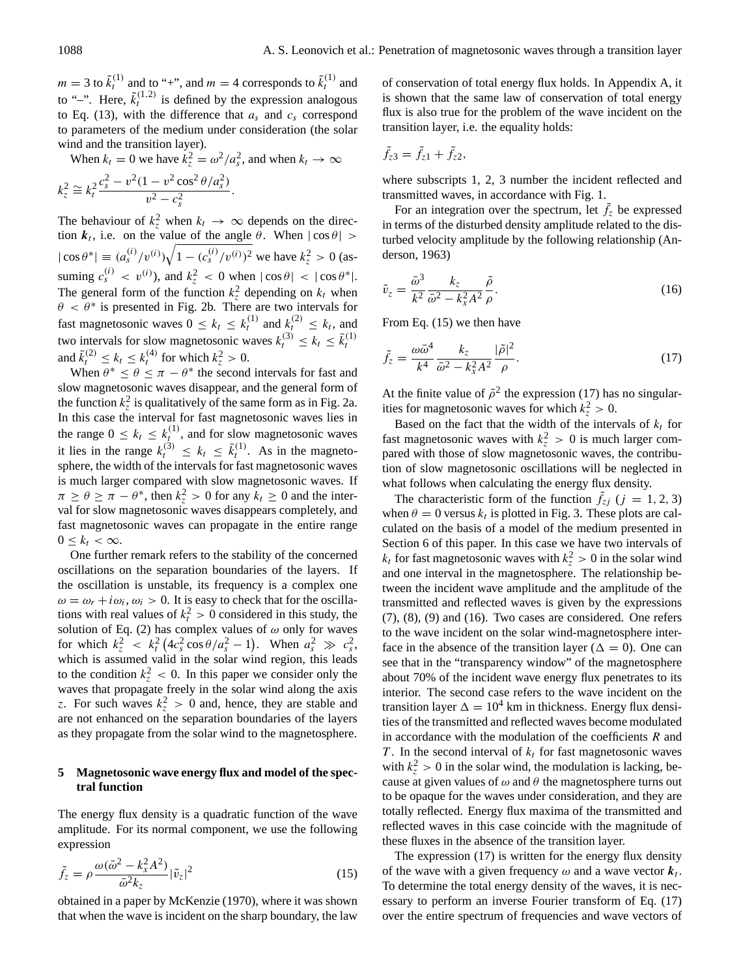$m = 3$  to  $\tilde{k}_t^{(1)}$  and to "+", and  $m = 4$  corresponds to  $\tilde{k}_t^{(1)}$  and to "-". Here,  $\tilde{k}_t^{(1,2)}$  is defined by the expression analogous to Eq. (13), with the difference that  $a_s$  and  $c_s$  correspond to parameters of the medium under consideration (the solar wind and the transition layer).

When 
$$
k_t = 0
$$
 we have  $k_z^2 = \omega^2/a_s^2$ , and when  $k_t \to \infty$   

$$
k_z^2 \cong k_t^2 \frac{c_s^2 - v^2(1 - v^2 \cos^2 \theta/a_s^2)}{v^2 - c_s^2}.
$$

The behaviour of  $k_z^2$  when  $k_t \to \infty$  depends on the direction  $k_t$ , i.e. on the value of the angle  $\theta$ . When  $|\cos \theta|$  >  $|\cos \theta^*| \equiv (a_s^{(i)}/v^{(i)}) \sqrt{1 - (c_s^{(i)}/v^{(i)})^2}$  we have  $k_z^2 > 0$  (assuming  $c_s^{(i)} < v^{(i)}$ , and  $k_z^2 < 0$  when  $|\cos \theta| < |\cos \theta^*|$ . The general form of the function  $k_z^2$  depending on  $k_t$  when  $\theta < \theta^*$  is presented in Fig. 2b. There are two intervals for fast magnetosonic waves  $0 \leq k_t \leq k_t^{(1)}$  and  $k_t^{(2)} \leq k_t$ , and t two intervals for slow magnetosonic waves  $k_t^{(3)} \le k_t \le \bar{k}_t^{(1)}$  and  $\bar{k}_t^{(2)} \le k_t \le k_t^{(4)}$  for which  $k_z^2 > 0$ .

When  $\theta^* \leq \theta \leq \pi - \theta^*$  the second intervals for fast and slow magnetosonic waves disappear, and the general form of the function  $k_z^2$  is qualitatively of the same form as in Fig. 2a. In this case the interval for fast magnetosonic waves lies in the range  $0 \leq k_t \leq k_t^{(1)}$ , and for slow magnetosonic waves it lies in the range  $k_t^{(3)} \leq k_t \leq \bar{k}_t^{(1)}$ . As in the magnetosphere, the width of the intervals for fast magnetosonic waves is much larger compared with slow magnetosonic waves. If  $\pi \ge \theta \ge \pi - \theta^*$ , then  $k_z^2 > 0$  for any  $k_t \ge 0$  and the interval for slow magnetosonic waves disappears completely, and fast magnetosonic waves can propagate in the entire range  $0 \leq k_t < \infty$ .

One further remark refers to the stability of the concerned oscillations on the separation boundaries of the layers. If the oscillation is unstable, its frequency is a complex one  $\omega = \omega_r + i\omega_i$ ,  $\omega_i > 0$ . It is easy to check that for the oscillations with real values of  $k_t^2 > 0$  considered in this study, the solution of Eq. (2) has complex values of  $\omega$  only for waves for which  $k_z^2 \, < \, k_t^2 \left( 4c_s^2 \cos \theta / a_s^2 - 1 \right)$ . When  $a_s^2 \, \gg \, c_s^2$ , which is assumed valid in the solar wind region, this leads to the condition  $k_z^2 < 0$ . In this paper we consider only the waves that propagate freely in the solar wind along the axis z. For such waves  $k_z^2 > 0$  and, hence, they are stable and are not enhanced on the separation boundaries of the layers as they propagate from the solar wind to the magnetosphere.

## **5 Magnetosonic wave energy flux and model of the spectral function**

The energy flux density is a quadratic function of the wave amplitude. For its normal component, we use the following expression

$$
\tilde{f}_z = \rho \frac{\omega (\bar{\omega}^2 - k_x^2 A^2)}{\bar{\omega}^2 k_z} |\tilde{v}_z|^2
$$
\n(15)

obtained in a paper by McKenzie (1970), where it was shown that when the wave is incident on the sharp boundary, the law of conservation of total energy flux holds. In Appendix A, it is shown that the same law of conservation of total energy flux is also true for the problem of the wave incident on the transition layer, i.e. the equality holds:

$$
\tilde{f}_{z3} = \tilde{f}_{z1} + \tilde{f}_{z2},
$$

where subscripts 1, 2, 3 number the incident reflected and transmitted waves, in accordance with Fig. 1.

For an integration over the spectrum, let  $\tilde{f}_z$  be expressed in terms of the disturbed density amplitude related to the disturbed velocity amplitude by the following relationship (Anderson, 1963)

$$
\tilde{v}_z = \frac{\bar{\omega}^3}{k^2} \frac{k_z}{\bar{\omega}^2 - k_x^2 A^2} \frac{\tilde{\rho}}{\rho}.
$$
\n(16)

From Eq. (15) we then have

$$
\tilde{f}_z = \frac{\omega \bar{\omega}^4}{k^4} \frac{k_z}{\bar{\omega}^2 - k_x^2 A^2} \frac{|\tilde{\rho}|^2}{\rho}.
$$
\n(17)

At the finite value of  $\tilde{\rho}^2$  the expression (17) has no singularities for magnetosonic waves for which  $k_z^2 > 0$ .

Based on the fact that the width of the intervals of  $k_t$  for fast magnetosonic waves with  $k_z^2 > 0$  is much larger compared with those of slow magnetosonic waves, the contribution of slow magnetosonic oscillations will be neglected in what follows when calculating the energy flux density.

The characteristic form of the function  $\tilde{f}_{zj}$  ( $j = 1, 2, 3$ ) when  $\theta = 0$  versus  $k_t$  is plotted in Fig. 3. These plots are calculated on the basis of a model of the medium presented in Section 6 of this paper. In this case we have two intervals of  $k_t$  for fast magnetosonic waves with  $k_z^2 > 0$  in the solar wind and one interval in the magnetosphere. The relationship between the incident wave amplitude and the amplitude of the transmitted and reflected waves is given by the expressions (7), (8), (9) and (16). Two cases are considered. One refers to the wave incident on the solar wind-magnetosphere interface in the absence of the transition layer ( $\Delta = 0$ ). One can see that in the "transparency window" of the magnetosphere about 70% of the incident wave energy flux penetrates to its interior. The second case refers to the wave incident on the transition layer  $\Delta = 10^4$  km in thickness. Energy flux densities of the transmitted and reflected waves become modulated in accordance with the modulation of the coefficients  $R$  and T. In the second interval of  $k_t$  for fast magnetosonic waves with  $k_z^2 > 0$  in the solar wind, the modulation is lacking, because at given values of  $\omega$  and  $\theta$  the magnetosphere turns out to be opaque for the waves under consideration, and they are totally reflected. Energy flux maxima of the transmitted and reflected waves in this case coincide with the magnitude of these fluxes in the absence of the transition layer.

The expression (17) is written for the energy flux density of the wave with a given frequency  $\omega$  and a wave vector  $k_t$ . To determine the total energy density of the waves, it is necessary to perform an inverse Fourier transform of Eq. (17) over the entire spectrum of frequencies and wave vectors of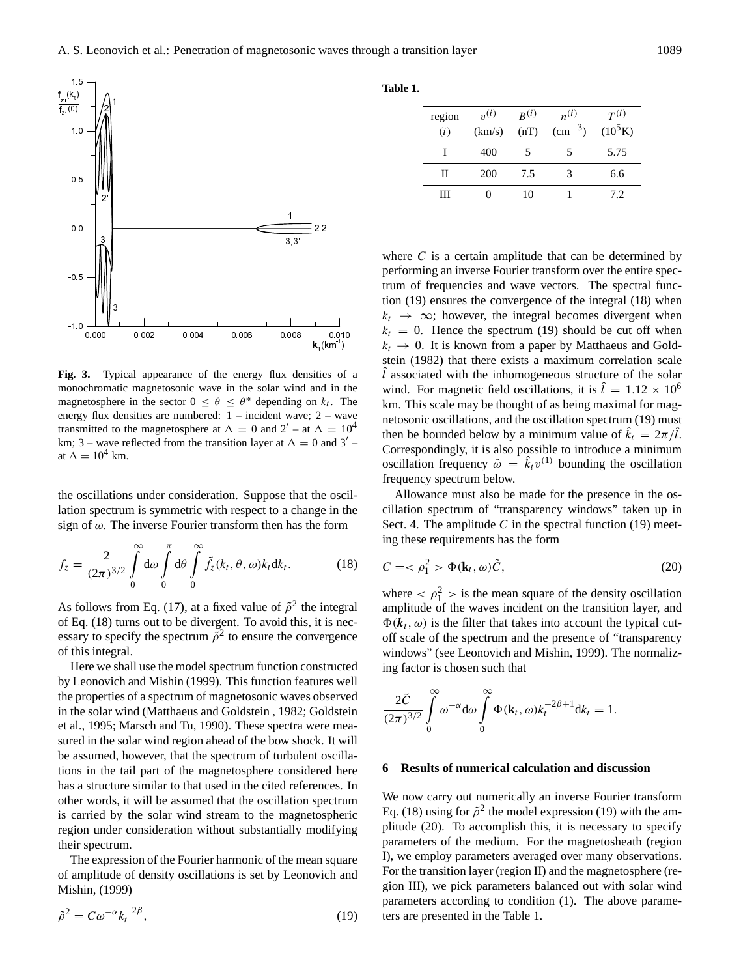

Fig. 3. Typical appearance of the energy flux densities of a monochromatic magnetosonic wave in the solar wind and in the magnetosphere in the sector  $0 \le \theta \le \theta^*$  depending on  $k_t$ . The energy flux densities are numbered: 1 – incident wave; 2 – wave transmitted to the magnetosphere at  $\Delta = 0$  and  $2' - at \Delta = 10^4$ km; 3 – wave reflected from the transition layer at  $\Delta = 0$  and 3' at  $\Delta = 10^4$  km.

the oscillations under consideration. Suppose that the oscillation spectrum is symmetric with respect to a change in the sign of  $\omega$ . The inverse Fourier transform then has the form

$$
f_z = \frac{2}{(2\pi)^{3/2}} \int_0^\infty d\omega \int_0^\pi d\theta \int_0^\infty \tilde{f}_z(k_t, \theta, \omega) k_t dk_t.
$$
 (18)

As follows from Eq. (17), at a fixed value of  $\tilde{\rho}^2$  the integral of Eq. (18) turns out to be divergent. To avoid this, it is necessary to specify the spectrum  $\tilde{\rho}^2$  to ensure the convergence of this integral.

Here we shall use the model spectrum function constructed by Leonovich and Mishin (1999). This function features well the properties of a spectrum of magnetosonic waves observed in the solar wind (Matthaeus and Goldstein , 1982; Goldstein et al., 1995; Marsch and Tu, 1990). These spectra were measured in the solar wind region ahead of the bow shock. It will be assumed, however, that the spectrum of turbulent oscillations in the tail part of the magnetosphere considered here has a structure similar to that used in the cited references. In other words, it will be assumed that the oscillation spectrum is carried by the solar wind stream to the magnetospheric region under consideration without substantially modifying their spectrum.

The expression of the Fourier harmonic of the mean square of amplitude of density oscillations is set by Leonovich and Mishin, (1999)

$$
\tilde{\rho}^2 = C\omega^{-\alpha} k_t^{-2\beta},\tag{19}
$$

#### **Table 1.**

| region<br>(i) | $v^{(i)}$<br>(km/s) | $R^{(i)}$<br>(nT) | $n^{(i)}$<br>$\rm (cm^{-3})$ | $T^{(i)}$<br>$(10^5 K)$ |
|---------------|---------------------|-------------------|------------------------------|-------------------------|
|               | 400                 | 5                 | 5                            | 5.75                    |
| Π             | 200                 | 7.5               | 3                            | 6.6                     |
| Ш             |                     | 10                |                              | 7.2                     |

where  $C$  is a certain amplitude that can be determined by performing an inverse Fourier transform over the entire spectrum of frequencies and wave vectors. The spectral function (19) ensures the convergence of the integral (18) when  $k_t \rightarrow \infty$ ; however, the integral becomes divergent when  $k_t = 0$ . Hence the spectrum (19) should be cut off when  $k_t \rightarrow 0$ . It is known from a paper by Matthaeus and Goldstein (1982) that there exists a maximum correlation scale  $\hat{l}$  associated with the inhomogeneous structure of the solar wind. For magnetic field oscillations, it is  $\hat{l} = 1.12 \times 10^6$ km. This scale may be thought of as being maximal for magnetosonic oscillations, and the oscillation spectrum (19) must then be bounded below by a minimum value of  $\hat{k}_t = 2\pi/\hat{l}$ . Correspondingly, it is also possible to introduce a minimum oscillation frequency  $\hat{\omega} = \hat{k}_t v^{(1)}$  bounding the oscillation frequency spectrum below.

Allowance must also be made for the presence in the oscillation spectrum of "transparency windows" taken up in Sect. 4. The amplitude  $C$  in the spectral function (19) meeting these requirements has the form

$$
C = \langle \rho_1^2 \rangle \Phi(\mathbf{k}_t, \omega) \tilde{C}, \qquad (20)
$$

where  $\langle \rho_1^2 \rangle$  is the mean square of the density oscillation amplitude of the waves incident on the transition layer, and  $\Phi(k_t, \omega)$  is the filter that takes into account the typical cutoff scale of the spectrum and the presence of "transparency windows" (see Leonovich and Mishin, 1999). The normalizing factor is chosen such that

$$
\frac{2\tilde{C}}{(2\pi)^{3/2}}\int_{0}^{\infty}\omega^{-\alpha}d\omega\int_{0}^{\infty}\Phi(\mathbf{k}_{t},\omega)\mathbf{k}_{t}^{-2\beta+1}d\mathbf{k}_{t}=1.
$$

#### **6 Results of numerical calculation and discussion**

We now carry out numerically an inverse Fourier transform Eq. (18) using for  $\tilde{\rho}^2$  the model expression (19) with the amplitude (20). To accomplish this, it is necessary to specify parameters of the medium. For the magnetosheath (region I), we employ parameters averaged over many observations. For the transition layer (region II) and the magnetosphere (region III), we pick parameters balanced out with solar wind parameters according to condition (1). The above parameters are presented in the Table 1.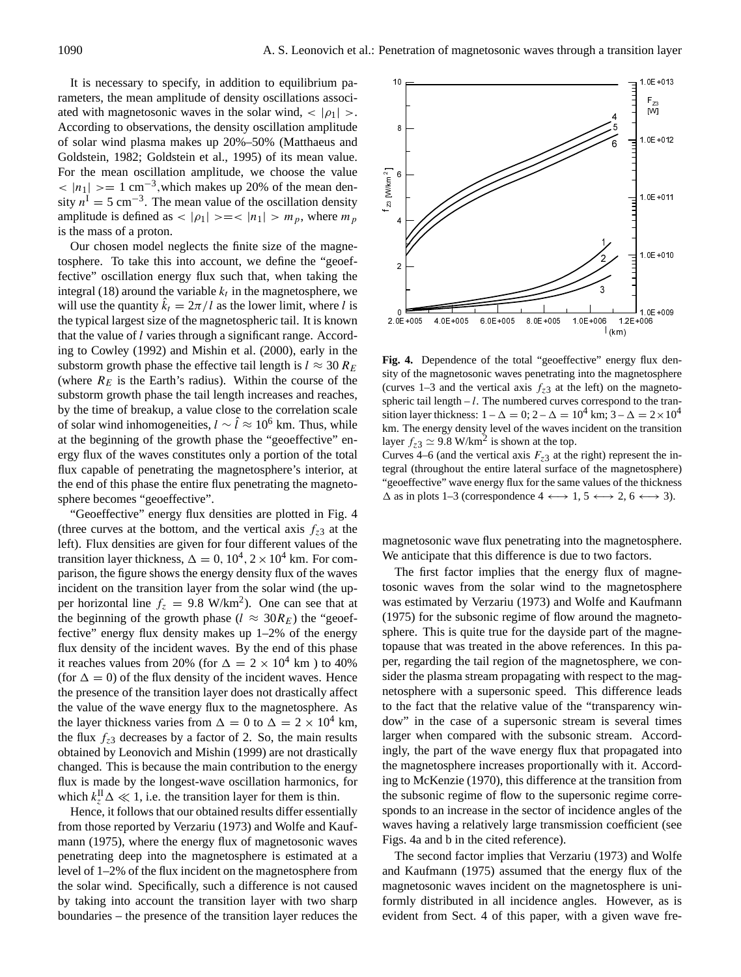It is necessary to specify, in addition to equilibrium parameters, the mean amplitude of density oscillations associated with magnetosonic waves in the solar wind,  $\langle |\rho_1| \rangle$ . According to observations, the density oscillation amplitude of solar wind plasma makes up 20%–50% (Matthaeus and Goldstein, 1982; Goldstein et al., 1995) of its mean value. For the mean oscillation amplitude, we choose the value  $<$  |n<sub>1</sub>| > = 1 cm<sup>-3</sup>, which makes up 20% of the mean density  $n^I = 5$  cm<sup>-3</sup>. The mean value of the oscillation density amplitude is defined as  $|p_1| \geq -2$   $|n_1| \geq m_p$ , where  $m_p$ is the mass of a proton.

Our chosen model neglects the finite size of the magnetosphere. To take this into account, we define the "geoeffective" oscillation energy flux such that, when taking the integral (18) around the variable  $k_t$  in the magnetosphere, we will use the quantity  $\hat{k}_t = 2\pi/l$  as the lower limit, where l is the typical largest size of the magnetospheric tail. It is known that the value of l varies through a significant range. According to Cowley (1992) and Mishin et al. (2000), early in the substorm growth phase the effective tail length is  $l \approx 30 R_E$ (where  $R_E$  is the Earth's radius). Within the course of the substorm growth phase the tail length increases and reaches, by the time of breakup, a value close to the correlation scale of solar wind inhomogeneities,  $l \sim \hat{l} \approx 10^6$  km. Thus, while at the beginning of the growth phase the "geoeffective" energy flux of the waves constitutes only a portion of the total flux capable of penetrating the magnetosphere's interior, at the end of this phase the entire flux penetrating the magnetosphere becomes "geoeffective".

"Geoeffective" energy flux densities are plotted in Fig. 4 (three curves at the bottom, and the vertical axis  $f_{z3}$  at the left). Flux densities are given for four different values of the transition layer thickness,  $\Delta = 0$ ,  $10^4$ ,  $2 \times 10^4$  km. For comparison, the figure shows the energy density flux of the waves incident on the transition layer from the solar wind (the upper horizontal line  $f_z = 9.8 \text{ W/km}^2$ . One can see that at the beginning of the growth phase ( $l \approx 30R_E$ ) the "geoeffective" energy flux density makes up 1–2% of the energy flux density of the incident waves. By the end of this phase it reaches values from 20% (for  $\Delta = 2 \times 10^4$  km) to 40% (for  $\Delta = 0$ ) of the flux density of the incident waves. Hence the presence of the transition layer does not drastically affect the value of the wave energy flux to the magnetosphere. As the layer thickness varies from  $\Delta = 0$  to  $\Delta = 2 \times 10^4$  km, the flux  $f_{z3}$  decreases by a factor of 2. So, the main results obtained by Leonovich and Mishin (1999) are not drastically changed. This is because the main contribution to the energy flux is made by the longest-wave oscillation harmonics, for which  $k_z^{\text{II}}\Delta \ll 1$ , i.e. the transition layer for them is thin.

Hence, it follows that our obtained results differ essentially from those reported by Verzariu (1973) and Wolfe and Kaufmann (1975), where the energy flux of magnetosonic waves penetrating deep into the magnetosphere is estimated at a level of 1–2% of the flux incident on the magnetosphere from the solar wind. Specifically, such a difference is not caused by taking into account the transition layer with two sharp boundaries – the presence of the transition layer reduces the



**Fig. 4.** Dependence of the total "geoeffective" energy flux density of the magnetosonic waves penetrating into the magnetosphere (curves 1–3 and the vertical axis  $f_{z3}$  at the left) on the magnetospheric tail length  $-l$ . The numbered curves correspond to the transition layer thickness:  $1 - \Delta = 0$ ;  $2 - \Delta = 10^4$  km;  $3 - \Delta = 2 \times 10^4$ km. The energy density level of the waves incident on the transition layer  $f_{z3} \simeq 9.8 \text{ W/km}^2$  is shown at the top.

Curves 4–6 (and the vertical axis  $F_{z3}$  at the right) represent the integral (throughout the entire lateral surface of the magnetosphere) "geoeffective" wave energy flux for the same values of the thickness  $\Delta$  as in plots 1–3 (correspondence 4  $\longleftrightarrow$  1, 5  $\longleftrightarrow$  2, 6  $\longleftrightarrow$  3).

magnetosonic wave flux penetrating into the magnetosphere. We anticipate that this difference is due to two factors.

The first factor implies that the energy flux of magnetosonic waves from the solar wind to the magnetosphere was estimated by Verzariu (1973) and Wolfe and Kaufmann (1975) for the subsonic regime of flow around the magnetosphere. This is quite true for the dayside part of the magnetopause that was treated in the above references. In this paper, regarding the tail region of the magnetosphere, we consider the plasma stream propagating with respect to the magnetosphere with a supersonic speed. This difference leads to the fact that the relative value of the "transparency window" in the case of a supersonic stream is several times larger when compared with the subsonic stream. Accordingly, the part of the wave energy flux that propagated into the magnetosphere increases proportionally with it. According to McKenzie (1970), this difference at the transition from the subsonic regime of flow to the supersonic regime corresponds to an increase in the sector of incidence angles of the waves having a relatively large transmission coefficient (see Figs. 4a and b in the cited reference).

The second factor implies that Verzariu (1973) and Wolfe and Kaufmann (1975) assumed that the energy flux of the magnetosonic waves incident on the magnetosphere is uniformly distributed in all incidence angles. However, as is evident from Sect. 4 of this paper, with a given wave fre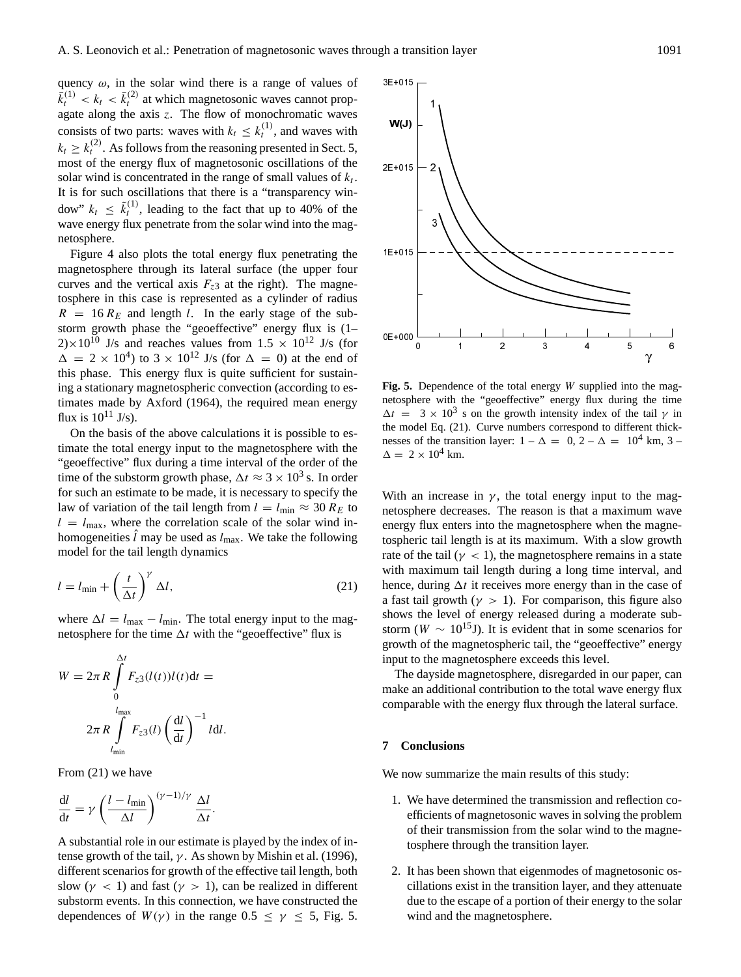quency  $\omega$ , in the solar wind there is a range of values of  $\bar{k}_t^{(1)} < k_t < \bar{k}_t^{(2)}$  at which magnetosonic waves cannot propagate along the axis  $z$ . The flow of monochromatic waves consists of two parts: waves with  $k_t \leq k_t^{(1)}$ , and waves with  $k_t \geq k_t^{(2)}$ . As follows from the reasoning presented in Sect. 5, most of the energy flux of magnetosonic oscillations of the solar wind is concentrated in the range of small values of  $k_t$ . It is for such oscillations that there is a "transparency window"  $k_t \leq \tilde{k}_t^{(1)}$ , leading to the fact that up to 40% of the wave energy flux penetrate from the solar wind into the magnetosphere.

Figure 4 also plots the total energy flux penetrating the magnetosphere through its lateral surface (the upper four curves and the vertical axis  $F_{z3}$  at the right). The magnetosphere in this case is represented as a cylinder of radius  $R = 16 R_E$  and length l. In the early stage of the substorm growth phase the "geoeffective" energy flux is (1–  $2) \times 10^{10}$  J/s and reaches values from  $1.5 \times 10^{12}$  J/s (for  $\Delta = 2 \times 10^4$ ) to  $3 \times 10^{12}$  J/s (for  $\Delta = 0$ ) at the end of this phase. This energy flux is quite sufficient for sustaining a stationary magnetospheric convection (according to estimates made by Axford (1964), the required mean energy flux is  $10^{11}$  J/s).

On the basis of the above calculations it is possible to estimate the total energy input to the magnetosphere with the "geoeffective" flux during a time interval of the order of the time of the substorm growth phase,  $\Delta t \approx 3 \times 10^3$  s. In order for such an estimate to be made, it is necessary to specify the law of variation of the tail length from  $l = l_{\text{min}} \approx 30 R_E$  to  $l = l_{\text{max}}$ , where the correlation scale of the solar wind inhomogeneities  $\hat{l}$  may be used as  $l_{\text{max}}$ . We take the following model for the tail length dynamics

$$
l = l_{\min} + \left(\frac{t}{\Delta t}\right)^{\gamma} \Delta l,\tag{21}
$$

where  $\Delta l = l_{\text{max}} - l_{\text{min}}$ . The total energy input to the magnetosphere for the time  $\Delta t$  with the "geoeffective" flux is

$$
W = 2\pi R \int_{0}^{\Delta t} F_{z3}(l(t))l(t)dt =
$$
  

$$
2\pi R \int_{l_{\text{min}}}^{l_{\text{max}}} F_{z3}(l) \left(\frac{dl}{dt}\right)^{-1} ldl.
$$

From (21) we have

$$
\frac{\mathrm{d}l}{\mathrm{d}t} = \gamma \left( \frac{l - l_{\min}}{\Delta l} \right)^{(\gamma - 1)/\gamma} \frac{\Delta l}{\Delta t}.
$$

A substantial role in our estimate is played by the index of intense growth of the tail,  $\gamma$ . As shown by Mishin et al. (1996), different scenarios for growth of the effective tail length, both slow ( $\gamma$  < 1) and fast ( $\gamma$  > 1), can be realized in different substorm events. In this connection, we have constructed the dependences of  $W(\gamma)$  in the range  $0.5 \leq \gamma \leq 5$ , Fig. 5.



**Fig. 5.** Dependence of the total energy W supplied into the magnetosphere with the "geoeffective" energy flux during the time  $\Delta t = 3 \times 10^3$  s on the growth intensity index of the tail  $\gamma$  in the model Eq. (21). Curve numbers correspond to different thicknesses of the transition layer:  $1 - \Delta = 0$ ,  $2 - \Delta = 10^4$  km, 3 –  $\Delta = 2 \times 10^4$  km.

With an increase in  $\gamma$ , the total energy input to the magnetosphere decreases. The reason is that a maximum wave energy flux enters into the magnetosphere when the magnetospheric tail length is at its maximum. With a slow growth rate of the tail ( $\gamma$  < 1), the magnetosphere remains in a state with maximum tail length during a long time interval, and hence, during  $\Delta t$  it receives more energy than in the case of a fast tail growth ( $\gamma > 1$ ). For comparison, this figure also shows the level of energy released during a moderate substorm (W  $\sim 10^{15}$ J). It is evident that in some scenarios for growth of the magnetospheric tail, the "geoeffective" energy input to the magnetosphere exceeds this level.

The dayside magnetosphere, disregarded in our paper, can make an additional contribution to the total wave energy flux comparable with the energy flux through the lateral surface.

#### **7 Conclusions**

We now summarize the main results of this study:

- 1. We have determined the transmission and reflection coefficients of magnetosonic waves in solving the problem of their transmission from the solar wind to the magnetosphere through the transition layer.
- 2. It has been shown that eigenmodes of magnetosonic oscillations exist in the transition layer, and they attenuate due to the escape of a portion of their energy to the solar wind and the magnetosphere.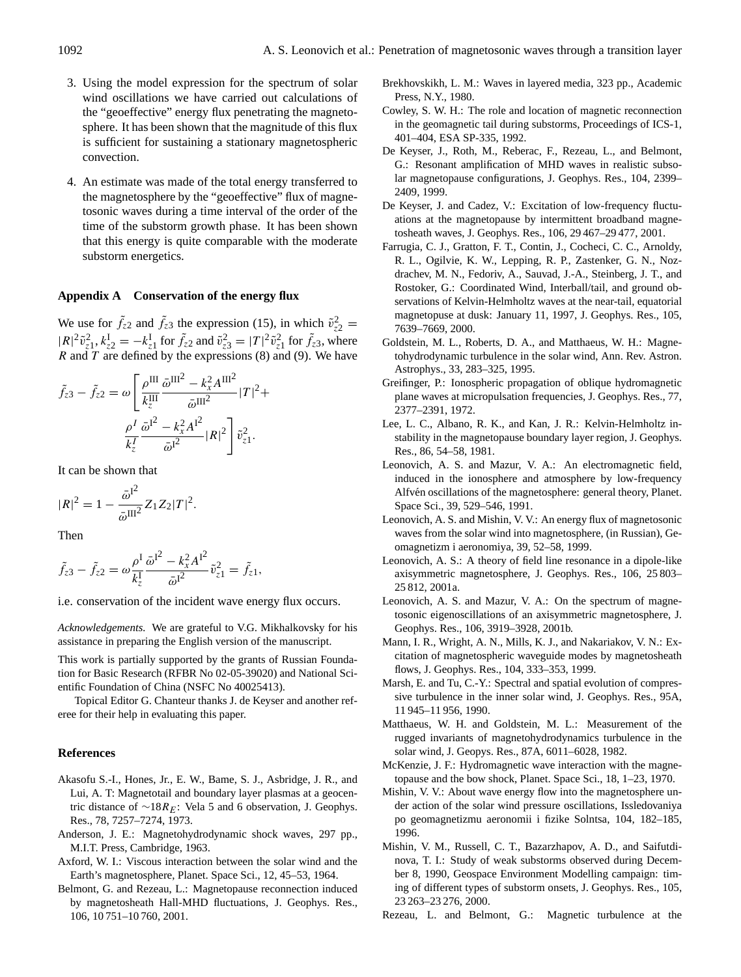- 3. Using the model expression for the spectrum of solar wind oscillations we have carried out calculations of the "geoeffective" energy flux penetrating the magnetosphere. It has been shown that the magnitude of this flux is sufficient for sustaining a stationary magnetospheric convection.
- 4. An estimate was made of the total energy transferred to the magnetosphere by the "geoeffective" flux of magnetosonic waves during a time interval of the order of the time of the substorm growth phase. It has been shown that this energy is quite comparable with the moderate substorm energetics.

#### **Appendix A Conservation of the energy flux**

We use for  $\tilde{f}_{z2}$  and  $\tilde{f}_{z3}$  the expression (15), in which  $\tilde{v}_{z2}^2 =$  $|R|^2 \tilde{v}_{z_1}^2$ ,  $k_{z_2}^I = -k_{z_1}^I$  for  $\tilde{f}_{z_2}$  and  $\tilde{v}_{z_3}^2 = |T|^2 \tilde{v}_{z_1}^2$  for  $\tilde{f}_{z_3}$ , where R and T are defined by the expressions  $(8)$  and  $(9)$ . We have

$$
\tilde{f}_{z3} - \tilde{f}_{z2} = \omega \left[ \frac{\rho^{\text{III}}}{k_z^{\text{III}}} \frac{\bar{\omega}^{\text{III}^2} - k_x^2 A^{\text{III}^2}}{\bar{\omega}^{\text{III}^2}} |T|^2 + \frac{\rho^I}{k_z^I} \frac{\bar{\omega}^{I^2} - k_x^2 A^{I^2}}{\bar{\omega}^{I^2}} |R|^2 \right] \tilde{v}_{z1}^2.
$$

It can be shown that

$$
|R|^2 = 1 - \frac{\bar{\omega}^{12}}{\bar{\omega}^{III^2}} Z_1 Z_2 |T|^2.
$$

Then

$$
\tilde{f}_{z3} - \tilde{f}_{z2} = \omega \frac{\rho^{\mathrm{I}}}{k_z^{\mathrm{I}}} \frac{\bar{\omega}^{\mathrm{I}^2} - k_x^2 A^{\mathrm{I}^2}}{\bar{\omega}^{\mathrm{I}^2}} \tilde{v}_{z1}^2 = \tilde{f}_{z1},
$$

i.e. conservation of the incident wave energy flux occurs.

*Acknowledgements.* We are grateful to V.G. Mikhalkovsky for his assistance in preparing the English version of the manuscript.

This work is partially supported by the grants of Russian Foundation for Basic Research (RFBR No 02-05-39020) and National Scientific Foundation of China (NSFC No 40025413).

Topical Editor G. Chanteur thanks J. de Keyser and another referee for their help in evaluating this paper.

#### **References**

- Akasofu S.-I., Hones, Jr., E. W., Bame, S. J., Asbridge, J. R., and Lui, A. T: Magnetotail and boundary layer plasmas at a geocentric distance of  $\sim$ 18 $R_E$ : Vela 5 and 6 observation, J. Geophys. Res., 78, 7257–7274, 1973.
- Anderson, J. E.: Magnetohydrodynamic shock waves, 297 pp., M.I.T. Press, Cambridge, 1963.
- Axford, W. I.: Viscous interaction between the solar wind and the Earth's magnetosphere, Planet. Space Sci., 12, 45–53, 1964.
- Belmont, G. and Rezeau, L.: Magnetopause reconnection induced by magnetosheath Hall-MHD fluctuations, J. Geophys. Res., 106, 10 751–10 760, 2001.
- Brekhovskikh, L. M.: Waves in layered media, 323 pp., Academic Press, N.Y., 1980.
- Cowley, S. W. H.: The role and location of magnetic reconnection in the geomagnetic tail during substorms, Proceedings of ICS-1, 401–404, ESA SP-335, 1992.
- De Keyser, J., Roth, M., Reberac, F., Rezeau, L., and Belmont, G.: Resonant amplification of MHD waves in realistic subsolar magnetopause configurations, J. Geophys. Res., 104, 2399– 2409, 1999.
- De Keyser, J. and Cadez, V.: Excitation of low-frequency fluctuations at the magnetopause by intermittent broadband magnetosheath waves, J. Geophys. Res., 106, 29 467–29 477, 2001.
- Farrugia, C. J., Gratton, F. T., Contin, J., Cocheci, C. C., Arnoldy, R. L., Ogilvie, K. W., Lepping, R. P., Zastenker, G. N., Nozdrachev, M. N., Fedoriv, A., Sauvad, J.-A., Steinberg, J. T., and Rostoker, G.: Coordinated Wind, Interball/tail, and ground observations of Kelvin-Helmholtz waves at the near-tail, equatorial magnetopuse at dusk: January 11, 1997, J. Geophys. Res., 105, 7639–7669, 2000.
- Goldstein, M. L., Roberts, D. A., and Matthaeus, W. H.: Magnetohydrodynamic turbulence in the solar wind, Ann. Rev. Astron. Astrophys., 33, 283–325, 1995.
- Greifinger, P.: Ionospheric propagation of oblique hydromagnetic plane waves at micropulsation frequencies, J. Geophys. Res., 77, 2377–2391, 1972.
- Lee, L. C., Albano, R. K., and Kan, J. R.: Kelvin-Helmholtz instability in the magnetopause boundary layer region, J. Geophys. Res., 86, 54–58, 1981.
- Leonovich, A. S. and Mazur, V. A.: An electromagnetic field, induced in the ionosphere and atmosphere by low-frequency Alfvén oscillations of the magnetosphere: general theory, Planet. Space Sci., 39, 529–546, 1991.
- Leonovich, A. S. and Mishin, V. V.: An energy flux of magnetosonic waves from the solar wind into magnetosphere, (in Russian), Geomagnetizm i aeronomiya, 39, 52–58, 1999.
- Leonovich, A. S.: A theory of field line resonance in a dipole-like axisymmetric magnetosphere, J. Geophys. Res., 106, 25 803– 25 812, 2001a.
- Leonovich, A. S. and Mazur, V. A.: On the spectrum of magnetosonic eigenoscillations of an axisymmetric magnetosphere, J. Geophys. Res., 106, 3919–3928, 2001b.
- Mann, I. R., Wright, A. N., Mills, K. J., and Nakariakov, V. N.: Excitation of magnetospheric waveguide modes by magnetosheath flows, J. Geophys. Res., 104, 333–353, 1999.
- Marsh, E. and Tu, C.-Y.: Spectral and spatial evolution of compressive turbulence in the inner solar wind, J. Geophys. Res., 95A, 11 945–11 956, 1990.
- Matthaeus, W. H. and Goldstein, M. L.: Measurement of the rugged invariants of magnetohydrodynamics turbulence in the solar wind, J. Geopys. Res., 87A, 6011–6028, 1982.
- McKenzie, J. F.: Hydromagnetic wave interaction with the magnetopause and the bow shock, Planet. Space Sci., 18, 1–23, 1970.
- Mishin, V. V.: About wave energy flow into the magnetosphere under action of the solar wind pressure oscillations, Issledovaniya po geomagnetizmu aeronomii i fizike Solntsa, 104, 182–185, 1996.
- Mishin, V. M., Russell, C. T., Bazarzhapov, A. D., and Saifutdinova, T. I.: Study of weak substorms observed during December 8, 1990, Geospace Environment Modelling campaign: timing of different types of substorm onsets, J. Geophys. Res., 105, 23 263–23 276, 2000.
- Rezeau, L. and Belmont, G.: Magnetic turbulence at the